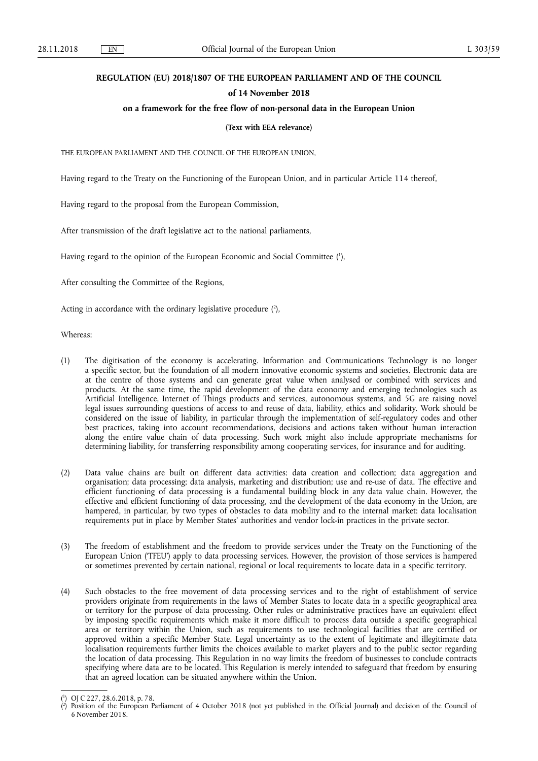## **REGULATION (EU) 2018/1807 OF THE EUROPEAN PARLIAMENT AND OF THE COUNCIL**

#### **of 14 November 2018**

## **on a framework for the free flow of non-personal data in the European Union**

#### **(Text with EEA relevance)**

THE EUROPEAN PARLIAMENT AND THE COUNCIL OF THE EUROPEAN UNION,

Having regard to the Treaty on the Functioning of the European Union, and in particular Article 114 thereof,

Having regard to the proposal from the European Commission,

After transmission of the draft legislative act to the national parliaments,

Having regard to the opinion of the European Economic and Social Committee ( 1 ),

After consulting the Committee of the Regions,

Acting in accordance with the ordinary legislative procedure  $(2)$ ,

Whereas:

- (1) The digitisation of the economy is accelerating. Information and Communications Technology is no longer a specific sector, but the foundation of all modern innovative economic systems and societies. Electronic data are at the centre of those systems and can generate great value when analysed or combined with services and products. At the same time, the rapid development of the data economy and emerging technologies such as Artificial Intelligence, Internet of Things products and services, autonomous systems, and 5G are raising novel legal issues surrounding questions of access to and reuse of data, liability, ethics and solidarity. Work should be considered on the issue of liability, in particular through the implementation of self-regulatory codes and other best practices, taking into account recommendations, decisions and actions taken without human interaction along the entire value chain of data processing. Such work might also include appropriate mechanisms for determining liability, for transferring responsibility among cooperating services, for insurance and for auditing.
- (2) Data value chains are built on different data activities: data creation and collection; data aggregation and organisation; data processing; data analysis, marketing and distribution; use and re-use of data. The effective and efficient functioning of data processing is a fundamental building block in any data value chain. However, the effective and efficient functioning of data processing, and the development of the data economy in the Union, are hampered, in particular, by two types of obstacles to data mobility and to the internal market: data localisation requirements put in place by Member States' authorities and vendor lock-in practices in the private sector.
- (3) The freedom of establishment and the freedom to provide services under the Treaty on the Functioning of the European Union ('TFEU') apply to data processing services. However, the provision of those services is hampered or sometimes prevented by certain national, regional or local requirements to locate data in a specific territory.
- (4) Such obstacles to the free movement of data processing services and to the right of establishment of service providers originate from requirements in the laws of Member States to locate data in a specific geographical area or territory for the purpose of data processing. Other rules or administrative practices have an equivalent effect by imposing specific requirements which make it more difficult to process data outside a specific geographical area or territory within the Union, such as requirements to use technological facilities that are certified or approved within a specific Member State. Legal uncertainty as to the extent of legitimate and illegitimate data localisation requirements further limits the choices available to market players and to the public sector regarding the location of data processing. This Regulation in no way limits the freedom of businesses to conclude contracts specifying where data are to be located. This Regulation is merely intended to safeguard that freedom by ensuring that an agreed location can be situated anywhere within the Union.

<sup>(</sup> 1 ) OJ C 227, 28.6.2018, p. 78.

<sup>(</sup> 2 ) Position of the European Parliament of 4 October 2018 (not yet published in the Official Journal) and decision of the Council of 6 November 2018.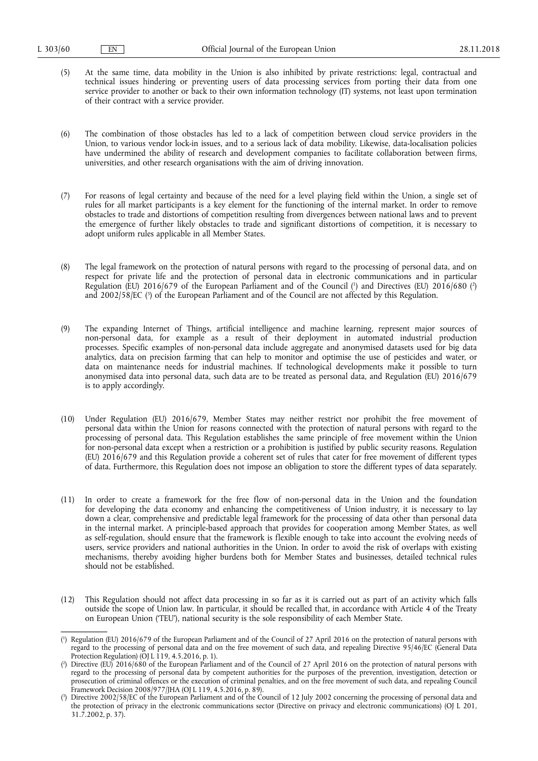- (5) At the same time, data mobility in the Union is also inhibited by private restrictions: legal, contractual and technical issues hindering or preventing users of data processing services from porting their data from one service provider to another or back to their own information technology (IT) systems, not least upon termination of their contract with a service provider.
- (6) The combination of those obstacles has led to a lack of competition between cloud service providers in the Union, to various vendor lock-in issues, and to a serious lack of data mobility. Likewise, data-localisation policies have undermined the ability of research and development companies to facilitate collaboration between firms, universities, and other research organisations with the aim of driving innovation.
- (7) For reasons of legal certainty and because of the need for a level playing field within the Union, a single set of rules for all market participants is a key element for the functioning of the internal market. In order to remove obstacles to trade and distortions of competition resulting from divergences between national laws and to prevent the emergence of further likely obstacles to trade and significant distortions of competition, it is necessary to adopt uniform rules applicable in all Member States.
- (8) The legal framework on the protection of natural persons with regard to the processing of personal data, and on respect for private life and the protection of personal data in electronic communications and in particular Regulation (EU) 2016/679 of the European Parliament and of the Council (<sup>1</sup>) and Directives (EU) 2016/680 (<sup>2</sup>) and 2002/58/EC ( 3 ) of the European Parliament and of the Council are not affected by this Regulation.
- (9) The expanding Internet of Things, artificial intelligence and machine learning, represent major sources of non-personal data, for example as a result of their deployment in automated industrial production processes. Specific examples of non-personal data include aggregate and anonymised datasets used for big data analytics, data on precision farming that can help to monitor and optimise the use of pesticides and water, or data on maintenance needs for industrial machines. If technological developments make it possible to turn anonymised data into personal data, such data are to be treated as personal data, and Regulation (EU) 2016/679 is to apply accordingly.
- (10) Under Regulation (EU) 2016/679, Member States may neither restrict nor prohibit the free movement of personal data within the Union for reasons connected with the protection of natural persons with regard to the processing of personal data. This Regulation establishes the same principle of free movement within the Union for non-personal data except when a restriction or a prohibition is justified by public security reasons. Regulation (EU) 2016/679 and this Regulation provide a coherent set of rules that cater for free movement of different types of data. Furthermore, this Regulation does not impose an obligation to store the different types of data separately.
- (11) In order to create a framework for the free flow of non-personal data in the Union and the foundation for developing the data economy and enhancing the competitiveness of Union industry, it is necessary to lay down a clear, comprehensive and predictable legal framework for the processing of data other than personal data in the internal market. A principle-based approach that provides for cooperation among Member States, as well as self-regulation, should ensure that the framework is flexible enough to take into account the evolving needs of users, service providers and national authorities in the Union. In order to avoid the risk of overlaps with existing mechanisms, thereby avoiding higher burdens both for Member States and businesses, detailed technical rules should not be established.
- (12) This Regulation should not affect data processing in so far as it is carried out as part of an activity which falls outside the scope of Union law. In particular, it should be recalled that, in accordance with Article 4 of the Treaty on European Union ('TEU'), national security is the sole responsibility of each Member State.

<sup>(</sup> 1 ) Regulation (EU) 2016/679 of the European Parliament and of the Council of 27 April 2016 on the protection of natural persons with regard to the processing of personal data and on the free movement of such data, and repealing Directive 95/46/EC (General Data Protection Regulation) (OJ L 119, 4.5.2016, p. 1).

<sup>(</sup> 2 ) Directive (EU) 2016/680 of the European Parliament and of the Council of 27 April 2016 on the protection of natural persons with regard to the processing of personal data by competent authorities for the purposes of the prevention, investigation, detection or prosecution of criminal offences or the execution of criminal penalties, and on the free movement of such data, and repealing Council Framework Decision 2008/977/JHA (OJ L 119, 4.5.2016, p. 89).

<sup>(</sup> 3 ) Directive 2002/58/EC of the European Parliament and of the Council of 12 July 2002 concerning the processing of personal data and the protection of privacy in the electronic communications sector (Directive on privacy and electronic communications) (OJ L 201, 31.7.2002, p. 37).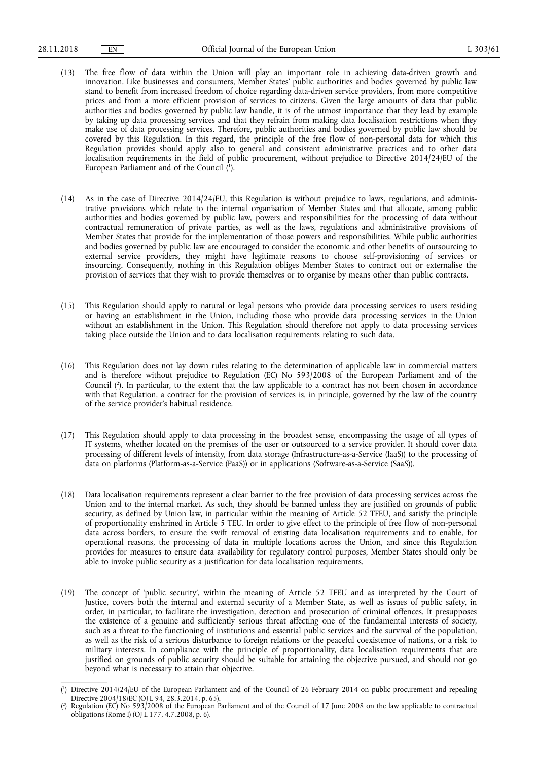- (13) The free flow of data within the Union will play an important role in achieving data-driven growth and innovation. Like businesses and consumers, Member States' public authorities and bodies governed by public law stand to benefit from increased freedom of choice regarding data-driven service providers, from more competitive prices and from a more efficient provision of services to citizens. Given the large amounts of data that public authorities and bodies governed by public law handle, it is of the utmost importance that they lead by example by taking up data processing services and that they refrain from making data localisation restrictions when they make use of data processing services. Therefore, public authorities and bodies governed by public law should be covered by this Regulation. In this regard, the principle of the free flow of non-personal data for which this Regulation provides should apply also to general and consistent administrative practices and to other data localisation requirements in the field of public procurement, without prejudice to Directive 2014/24/EU of the European Parliament and of the Council ( 1 ).
- (14) As in the case of Directive 2014/24/EU, this Regulation is without prejudice to laws, regulations, and administrative provisions which relate to the internal organisation of Member States and that allocate, among public authorities and bodies governed by public law, powers and responsibilities for the processing of data without contractual remuneration of private parties, as well as the laws, regulations and administrative provisions of Member States that provide for the implementation of those powers and responsibilities. While public authorities and bodies governed by public law are encouraged to consider the economic and other benefits of outsourcing to external service providers, they might have legitimate reasons to choose self-provisioning of services or insourcing. Consequently, nothing in this Regulation obliges Member States to contract out or externalise the provision of services that they wish to provide themselves or to organise by means other than public contracts.
- (15) This Regulation should apply to natural or legal persons who provide data processing services to users residing or having an establishment in the Union, including those who provide data processing services in the Union without an establishment in the Union. This Regulation should therefore not apply to data processing services taking place outside the Union and to data localisation requirements relating to such data.
- (16) This Regulation does not lay down rules relating to the determination of applicable law in commercial matters and is therefore without prejudice to Regulation (EC) No 593/2008 of the European Parliament and of the Council ( 2 ). In particular, to the extent that the law applicable to a contract has not been chosen in accordance with that Regulation, a contract for the provision of services is, in principle, governed by the law of the country of the service provider's habitual residence.
- (17) This Regulation should apply to data processing in the broadest sense, encompassing the usage of all types of IT systems, whether located on the premises of the user or outsourced to a service provider. It should cover data processing of different levels of intensity, from data storage (Infrastructure-as-a-Service (IaaS)) to the processing of data on platforms (Platform-as-a-Service (PaaS)) or in applications (Software-as-a-Service (SaaS)).
- (18) Data localisation requirements represent a clear barrier to the free provision of data processing services across the Union and to the internal market. As such, they should be banned unless they are justified on grounds of public security, as defined by Union law, in particular within the meaning of Article 52 TFEU, and satisfy the principle of proportionality enshrined in Article 5 TEU. In order to give effect to the principle of free flow of non-personal data across borders, to ensure the swift removal of existing data localisation requirements and to enable, for operational reasons, the processing of data in multiple locations across the Union, and since this Regulation provides for measures to ensure data availability for regulatory control purposes, Member States should only be able to invoke public security as a justification for data localisation requirements.
- (19) The concept of 'public security', within the meaning of Article 52 TFEU and as interpreted by the Court of Justice, covers both the internal and external security of a Member State, as well as issues of public safety, in order, in particular, to facilitate the investigation, detection and prosecution of criminal offences. It presupposes the existence of a genuine and sufficiently serious threat affecting one of the fundamental interests of society, such as a threat to the functioning of institutions and essential public services and the survival of the population, as well as the risk of a serious disturbance to foreign relations or the peaceful coexistence of nations, or a risk to military interests. In compliance with the principle of proportionality, data localisation requirements that are justified on grounds of public security should be suitable for attaining the objective pursued, and should not go beyond what is necessary to attain that objective.

<sup>(</sup> 1 ) Directive 2014/24/EU of the European Parliament and of the Council of 26 February 2014 on public procurement and repealing Directive 2004/18/EC (OJ L 94, 28.3.2014, p. 65).

<sup>(</sup> 2 ) Regulation (EC) No 593/2008 of the European Parliament and of the Council of 17 June 2008 on the law applicable to contractual obligations (Rome I) (OJ L 177, 4.7.2008, p. 6).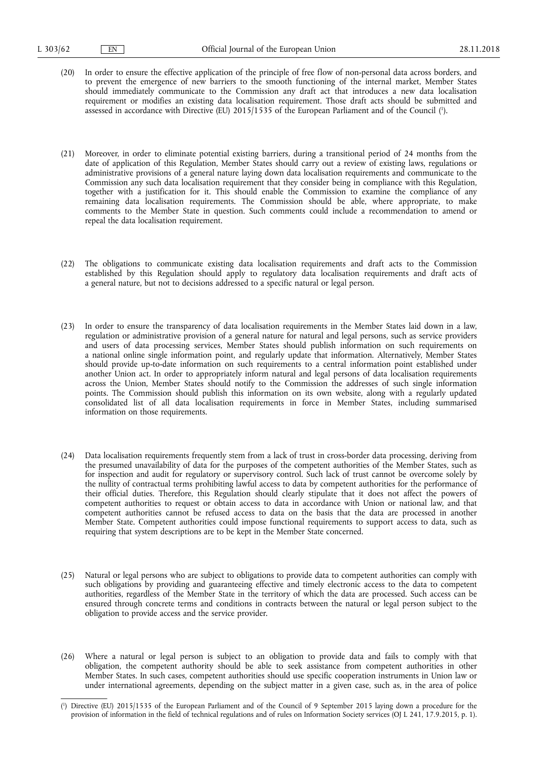- (20) In order to ensure the effective application of the principle of free flow of non-personal data across borders, and to prevent the emergence of new barriers to the smooth functioning of the internal market, Member States should immediately communicate to the Commission any draft act that introduces a new data localisation requirement or modifies an existing data localisation requirement. Those draft acts should be submitted and assessed in accordance with Directive (EU) 2015/1535 of the European Parliament and of the Council ( 1 ).
- (21) Moreover, in order to eliminate potential existing barriers, during a transitional period of 24 months from the date of application of this Regulation, Member States should carry out a review of existing laws, regulations or administrative provisions of a general nature laying down data localisation requirements and communicate to the Commission any such data localisation requirement that they consider being in compliance with this Regulation, together with a justification for it. This should enable the Commission to examine the compliance of any remaining data localisation requirements. The Commission should be able, where appropriate, to make comments to the Member State in question. Such comments could include a recommendation to amend or repeal the data localisation requirement.
- (22) The obligations to communicate existing data localisation requirements and draft acts to the Commission established by this Regulation should apply to regulatory data localisation requirements and draft acts of a general nature, but not to decisions addressed to a specific natural or legal person.
- (23) In order to ensure the transparency of data localisation requirements in the Member States laid down in a law, regulation or administrative provision of a general nature for natural and legal persons, such as service providers and users of data processing services, Member States should publish information on such requirements on a national online single information point, and regularly update that information. Alternatively, Member States should provide up-to-date information on such requirements to a central information point established under another Union act. In order to appropriately inform natural and legal persons of data localisation requirements across the Union, Member States should notify to the Commission the addresses of such single information points. The Commission should publish this information on its own website, along with a regularly updated consolidated list of all data localisation requirements in force in Member States, including summarised information on those requirements.
- (24) Data localisation requirements frequently stem from a lack of trust in cross-border data processing, deriving from the presumed unavailability of data for the purposes of the competent authorities of the Member States, such as for inspection and audit for regulatory or supervisory control. Such lack of trust cannot be overcome solely by the nullity of contractual terms prohibiting lawful access to data by competent authorities for the performance of their official duties. Therefore, this Regulation should clearly stipulate that it does not affect the powers of competent authorities to request or obtain access to data in accordance with Union or national law, and that competent authorities cannot be refused access to data on the basis that the data are processed in another Member State. Competent authorities could impose functional requirements to support access to data, such as requiring that system descriptions are to be kept in the Member State concerned.
- (25) Natural or legal persons who are subject to obligations to provide data to competent authorities can comply with such obligations by providing and guaranteeing effective and timely electronic access to the data to competent authorities, regardless of the Member State in the territory of which the data are processed. Such access can be ensured through concrete terms and conditions in contracts between the natural or legal person subject to the obligation to provide access and the service provider.
- (26) Where a natural or legal person is subject to an obligation to provide data and fails to comply with that obligation, the competent authority should be able to seek assistance from competent authorities in other Member States. In such cases, competent authorities should use specific cooperation instruments in Union law or under international agreements, depending on the subject matter in a given case, such as, in the area of police

<sup>(</sup> 1 ) Directive (EU) 2015/1535 of the European Parliament and of the Council of 9 September 2015 laying down a procedure for the provision of information in the field of technical regulations and of rules on Information Society services (OJ L 241, 17.9.2015, p. 1).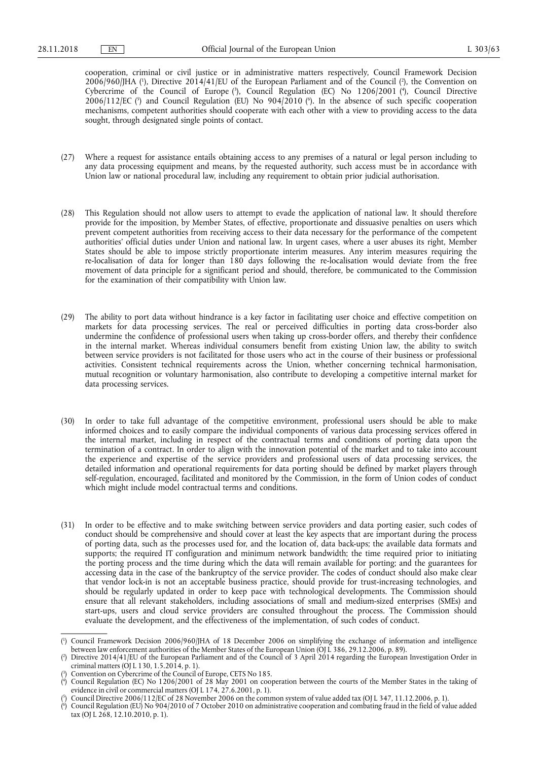cooperation, criminal or civil justice or in administrative matters respectively, Council Framework Decision  $2006/960$  [HA (<sup>1</sup>), Directive  $2014/41$  [EU of the European Parliament and of the Council (<sup>2</sup>), the Convention on Cybercrime of the Council of Europe (3), Council Regulation (EC) No 1206/2001 (4), Council Directive 2006/112/EC (5) and Council Regulation (EU) No 904/2010 (6). In the absence of such specific cooperation mechanisms, competent authorities should cooperate with each other with a view to providing access to the data sought, through designated single points of contact.

- (27) Where a request for assistance entails obtaining access to any premises of a natural or legal person including to any data processing equipment and means, by the requested authority, such access must be in accordance with Union law or national procedural law, including any requirement to obtain prior judicial authorisation.
- (28) This Regulation should not allow users to attempt to evade the application of national law. It should therefore provide for the imposition, by Member States, of effective, proportionate and dissuasive penalties on users which prevent competent authorities from receiving access to their data necessary for the performance of the competent authorities' official duties under Union and national law. In urgent cases, where a user abuses its right, Member States should be able to impose strictly proportionate interim measures. Any interim measures requiring the re-localisation of data for longer than 180 days following the re-localisation would deviate from the free movement of data principle for a significant period and should, therefore, be communicated to the Commission for the examination of their compatibility with Union law.
- (29) The ability to port data without hindrance is a key factor in facilitating user choice and effective competition on markets for data processing services. The real or perceived difficulties in porting data cross-border also undermine the confidence of professional users when taking up cross-border offers, and thereby their confidence in the internal market. Whereas individual consumers benefit from existing Union law, the ability to switch between service providers is not facilitated for those users who act in the course of their business or professional activities. Consistent technical requirements across the Union, whether concerning technical harmonisation, mutual recognition or voluntary harmonisation, also contribute to developing a competitive internal market for data processing services.
- (30) In order to take full advantage of the competitive environment, professional users should be able to make informed choices and to easily compare the individual components of various data processing services offered in the internal market, including in respect of the contractual terms and conditions of porting data upon the termination of a contract. In order to align with the innovation potential of the market and to take into account the experience and expertise of the service providers and professional users of data processing services, the detailed information and operational requirements for data porting should be defined by market players through self-regulation, encouraged, facilitated and monitored by the Commission, in the form of Union codes of conduct which might include model contractual terms and conditions.
- (31) In order to be effective and to make switching between service providers and data porting easier, such codes of conduct should be comprehensive and should cover at least the key aspects that are important during the process of porting data, such as the processes used for, and the location of, data back-ups; the available data formats and supports; the required IT configuration and minimum network bandwidth; the time required prior to initiating the porting process and the time during which the data will remain available for porting; and the guarantees for accessing data in the case of the bankruptcy of the service provider. The codes of conduct should also make clear that vendor lock-in is not an acceptable business practice, should provide for trust-increasing technologies, and should be regularly updated in order to keep pace with technological developments. The Commission should ensure that all relevant stakeholders, including associations of small and medium-sized enterprises (SMEs) and start-ups, users and cloud service providers are consulted throughout the process. The Commission should evaluate the development, and the effectiveness of the implementation, of such codes of conduct.

( 6 ) Council Regulation (EU) No 904/2010 of 7 October 2010 on administrative cooperation and combating fraud in the field of value added tax (OJ L 268, 12.10.2010, p. 1).

<sup>(</sup> 1 ) Council Framework Decision 2006/960/JHA of 18 December 2006 on simplifying the exchange of information and intelligence between law enforcement authorities of the Member States of the European Union (OJ L 386, 29.12.2006, p. 89).

<sup>(</sup> 2 ) Directive 2014/41/EU of the European Parliament and of the Council of 3 April 2014 regarding the European Investigation Order in criminal matters (OJ L 130, 1.5.2014, p. 1).

<sup>(</sup> 3 ) Convention on Cybercrime of the Council of Europe, CETS No 185.

<sup>(</sup> 4 ) Council Regulation (EC) No 1206/2001 of 28 May 2001 on cooperation between the courts of the Member States in the taking of evidence in civil or commercial matters (OJ L 174, 27.6.2001, p. 1).

<sup>(</sup> 5 ) Council Directive 2006/112/EC of 28 November 2006 on the common system of value added tax (OJ L 347, 11.12.2006, p. 1).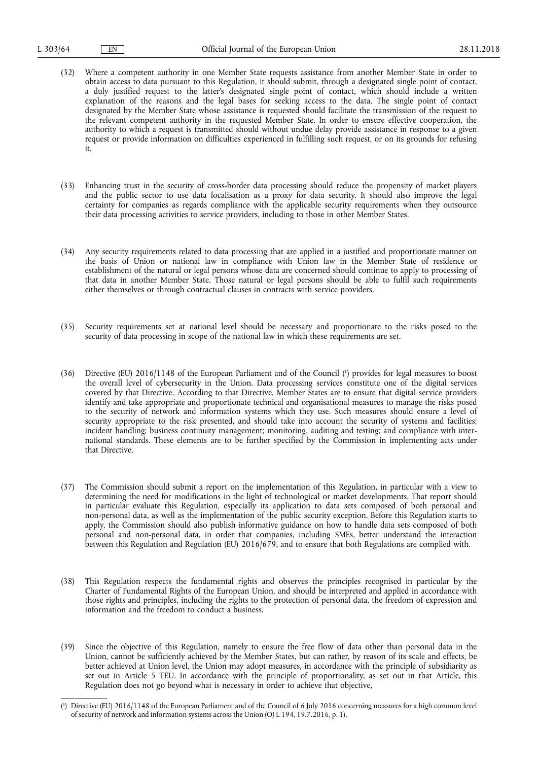- (32) Where a competent authority in one Member State requests assistance from another Member State in order to obtain access to data pursuant to this Regulation, it should submit, through a designated single point of contact, a duly justified request to the latter's designated single point of contact, which should include a written explanation of the reasons and the legal bases for seeking access to the data. The single point of contact designated by the Member State whose assistance is requested should facilitate the transmission of the request to the relevant competent authority in the requested Member State. In order to ensure effective cooperation, the authority to which a request is transmitted should without undue delay provide assistance in response to a given request or provide information on difficulties experienced in fulfilling such request, or on its grounds for refusing it.
- (33) Enhancing trust in the security of cross-border data processing should reduce the propensity of market players and the public sector to use data localisation as a proxy for data security. It should also improve the legal certainty for companies as regards compliance with the applicable security requirements when they outsource their data processing activities to service providers, including to those in other Member States.
- (34) Any security requirements related to data processing that are applied in a justified and proportionate manner on the basis of Union or national law in compliance with Union law in the Member State of residence or establishment of the natural or legal persons whose data are concerned should continue to apply to processing of that data in another Member State. Those natural or legal persons should be able to fulfil such requirements either themselves or through contractual clauses in contracts with service providers.
- (35) Security requirements set at national level should be necessary and proportionate to the risks posed to the security of data processing in scope of the national law in which these requirements are set.
- (36) Directive (EU) 2016/1148 of the European Parliament and of the Council ( 1 ) provides for legal measures to boost the overall level of cybersecurity in the Union. Data processing services constitute one of the digital services covered by that Directive. According to that Directive, Member States are to ensure that digital service providers identify and take appropriate and proportionate technical and organisational measures to manage the risks posed to the security of network and information systems which they use. Such measures should ensure a level of security appropriate to the risk presented, and should take into account the security of systems and facilities; incident handling; business continuity management; monitoring, auditing and testing; and compliance with international standards. These elements are to be further specified by the Commission in implementing acts under that Directive.
- (37) The Commission should submit a report on the implementation of this Regulation, in particular with a view to determining the need for modifications in the light of technological or market developments. That report should in particular evaluate this Regulation, especially its application to data sets composed of both personal and non-personal data, as well as the implementation of the public security exception. Before this Regulation starts to apply, the Commission should also publish informative guidance on how to handle data sets composed of both personal and non-personal data, in order that companies, including SMEs, better understand the interaction between this Regulation and Regulation (EU) 2016/679, and to ensure that both Regulations are complied with.
- (38) This Regulation respects the fundamental rights and observes the principles recognised in particular by the Charter of Fundamental Rights of the European Union, and should be interpreted and applied in accordance with those rights and principles, including the rights to the protection of personal data, the freedom of expression and information and the freedom to conduct a business.
- (39) Since the objective of this Regulation, namely to ensure the free flow of data other than personal data in the Union, cannot be sufficiently achieved by the Member States, but can rather, by reason of its scale and effects, be better achieved at Union level, the Union may adopt measures, in accordance with the principle of subsidiarity as set out in Article 5 TEU. In accordance with the principle of proportionality, as set out in that Article, this Regulation does not go beyond what is necessary in order to achieve that objective,

<sup>(</sup> 1 ) Directive (EU) 2016/1148 of the European Parliament and of the Council of 6 July 2016 concerning measures for a high common level of security of network and information systems across the Union (OJ L 194, 19.7.2016, p. 1).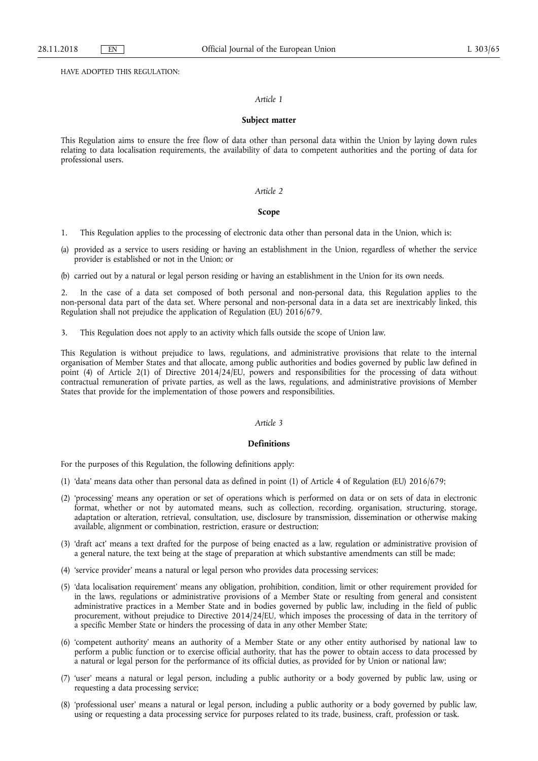HAVE ADOPTED THIS REGULATION:

#### *Article 1*

#### **Subject matter**

This Regulation aims to ensure the free flow of data other than personal data within the Union by laying down rules relating to data localisation requirements, the availability of data to competent authorities and the porting of data for professional users.

#### *Article 2*

## **Scope**

1. This Regulation applies to the processing of electronic data other than personal data in the Union, which is:

(a) provided as a service to users residing or having an establishment in the Union, regardless of whether the service provider is established or not in the Union; or

(b) carried out by a natural or legal person residing or having an establishment in the Union for its own needs.

2. In the case of a data set composed of both personal and non-personal data, this Regulation applies to the non-personal data part of the data set. Where personal and non-personal data in a data set are inextricably linked, this Regulation shall not prejudice the application of Regulation (EU) 2016/679.

3. This Regulation does not apply to an activity which falls outside the scope of Union law.

This Regulation is without prejudice to laws, regulations, and administrative provisions that relate to the internal organisation of Member States and that allocate, among public authorities and bodies governed by public law defined in point (4) of Article 2(1) of Directive 2014/24/EU, powers and responsibilities for the processing of data without contractual remuneration of private parties, as well as the laws, regulations, and administrative provisions of Member States that provide for the implementation of those powers and responsibilities.

## *Article 3*

#### **Definitions**

For the purposes of this Regulation, the following definitions apply:

- (1) 'data' means data other than personal data as defined in point (1) of Article 4 of Regulation (EU) 2016/679;
- (2) 'processing' means any operation or set of operations which is performed on data or on sets of data in electronic format, whether or not by automated means, such as collection, recording, organisation, structuring, storage, adaptation or alteration, retrieval, consultation, use, disclosure by transmission, dissemination or otherwise making available, alignment or combination, restriction, erasure or destruction;
- (3) 'draft act' means a text drafted for the purpose of being enacted as a law, regulation or administrative provision of a general nature, the text being at the stage of preparation at which substantive amendments can still be made;
- (4) 'service provider' means a natural or legal person who provides data processing services;
- (5) 'data localisation requirement' means any obligation, prohibition, condition, limit or other requirement provided for in the laws, regulations or administrative provisions of a Member State or resulting from general and consistent administrative practices in a Member State and in bodies governed by public law, including in the field of public procurement, without prejudice to Directive 2014/24/EU, which imposes the processing of data in the territory of a specific Member State or hinders the processing of data in any other Member State;
- (6) 'competent authority' means an authority of a Member State or any other entity authorised by national law to perform a public function or to exercise official authority, that has the power to obtain access to data processed by a natural or legal person for the performance of its official duties, as provided for by Union or national law;
- (7) 'user' means a natural or legal person, including a public authority or a body governed by public law, using or requesting a data processing service;
- (8) 'professional user' means a natural or legal person, including a public authority or a body governed by public law, using or requesting a data processing service for purposes related to its trade, business, craft, profession or task.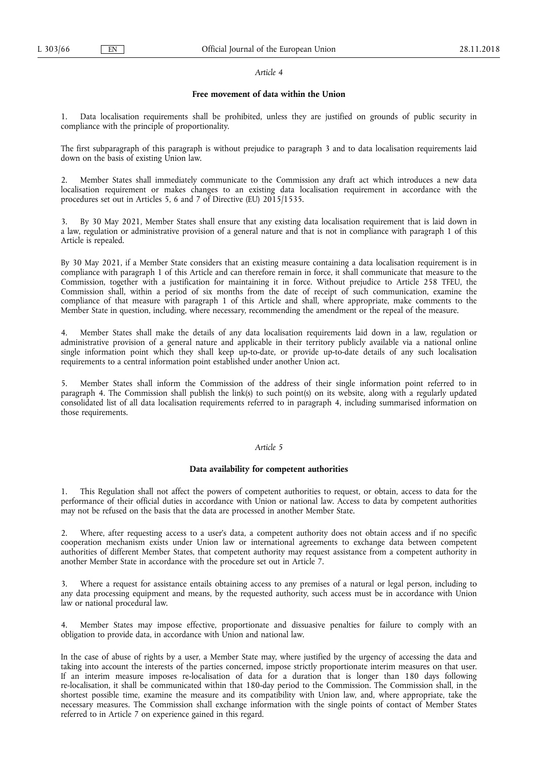#### *Article 4*

## **Free movement of data within the Union**

Data localisation requirements shall be prohibited, unless they are justified on grounds of public security in compliance with the principle of proportionality.

The first subparagraph of this paragraph is without prejudice to paragraph 3 and to data localisation requirements laid down on the basis of existing Union law.

2. Member States shall immediately communicate to the Commission any draft act which introduces a new data localisation requirement or makes changes to an existing data localisation requirement in accordance with the procedures set out in Articles 5, 6 and 7 of Directive (EU) 2015/1535.

3. By 30 May 2021, Member States shall ensure that any existing data localisation requirement that is laid down in a law, regulation or administrative provision of a general nature and that is not in compliance with paragraph 1 of this Article is repealed.

By 30 May 2021, if a Member State considers that an existing measure containing a data localisation requirement is in compliance with paragraph 1 of this Article and can therefore remain in force, it shall communicate that measure to the Commission, together with a justification for maintaining it in force. Without prejudice to Article 258 TFEU, the Commission shall, within a period of six months from the date of receipt of such communication, examine the compliance of that measure with paragraph 1 of this Article and shall, where appropriate, make comments to the Member State in question, including, where necessary, recommending the amendment or the repeal of the measure.

4. Member States shall make the details of any data localisation requirements laid down in a law, regulation or administrative provision of a general nature and applicable in their territory publicly available via a national online single information point which they shall keep up-to-date, or provide up-to-date details of any such localisation requirements to a central information point established under another Union act.

5. Member States shall inform the Commission of the address of their single information point referred to in paragraph 4. The Commission shall publish the link(s) to such point(s) on its website, along with a regularly updated consolidated list of all data localisation requirements referred to in paragraph 4, including summarised information on those requirements.

#### *Article 5*

# **Data availability for competent authorities**

1. This Regulation shall not affect the powers of competent authorities to request, or obtain, access to data for the performance of their official duties in accordance with Union or national law. Access to data by competent authorities may not be refused on the basis that the data are processed in another Member State.

2. Where, after requesting access to a user's data, a competent authority does not obtain access and if no specific cooperation mechanism exists under Union law or international agreements to exchange data between competent authorities of different Member States, that competent authority may request assistance from a competent authority in another Member State in accordance with the procedure set out in Article 7.

3. Where a request for assistance entails obtaining access to any premises of a natural or legal person, including to any data processing equipment and means, by the requested authority, such access must be in accordance with Union law or national procedural law.

Member States may impose effective, proportionate and dissuasive penalties for failure to comply with an obligation to provide data, in accordance with Union and national law.

In the case of abuse of rights by a user, a Member State may, where justified by the urgency of accessing the data and taking into account the interests of the parties concerned, impose strictly proportionate interim measures on that user. If an interim measure imposes re-localisation of data for a duration that is longer than 180 days following re-localisation, it shall be communicated within that 180-day period to the Commission. The Commission shall, in the shortest possible time, examine the measure and its compatibility with Union law, and, where appropriate, take the necessary measures. The Commission shall exchange information with the single points of contact of Member States referred to in Article 7 on experience gained in this regard.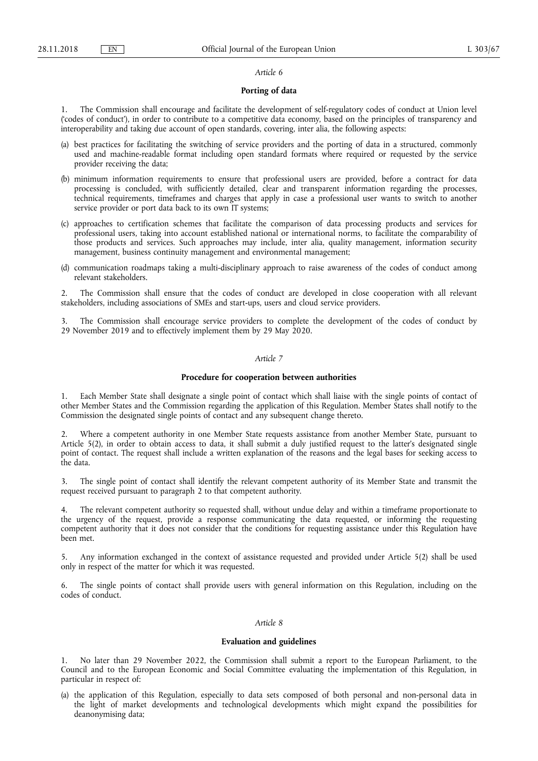#### *Article 6*

### **Porting of data**

1. The Commission shall encourage and facilitate the development of self-regulatory codes of conduct at Union level ('codes of conduct'), in order to contribute to a competitive data economy, based on the principles of transparency and interoperability and taking due account of open standards, covering, inter alia, the following aspects:

- (a) best practices for facilitating the switching of service providers and the porting of data in a structured, commonly used and machine-readable format including open standard formats where required or requested by the service provider receiving the data;
- (b) minimum information requirements to ensure that professional users are provided, before a contract for data processing is concluded, with sufficiently detailed, clear and transparent information regarding the processes, technical requirements, timeframes and charges that apply in case a professional user wants to switch to another service provider or port data back to its own IT systems;
- (c) approaches to certification schemes that facilitate the comparison of data processing products and services for professional users, taking into account established national or international norms, to facilitate the comparability of those products and services. Such approaches may include, inter alia, quality management, information security management, business continuity management and environmental management;
- (d) communication roadmaps taking a multi-disciplinary approach to raise awareness of the codes of conduct among relevant stakeholders.

2. The Commission shall ensure that the codes of conduct are developed in close cooperation with all relevant stakeholders, including associations of SMEs and start-ups, users and cloud service providers.

The Commission shall encourage service providers to complete the development of the codes of conduct by 29 November 2019 and to effectively implement them by 29 May 2020.

#### *Article 7*

#### **Procedure for cooperation between authorities**

1. Each Member State shall designate a single point of contact which shall liaise with the single points of contact of other Member States and the Commission regarding the application of this Regulation. Member States shall notify to the Commission the designated single points of contact and any subsequent change thereto.

2. Where a competent authority in one Member State requests assistance from another Member State, pursuant to Article 5(2), in order to obtain access to data, it shall submit a duly justified request to the latter's designated single point of contact. The request shall include a written explanation of the reasons and the legal bases for seeking access to the data.

3. The single point of contact shall identify the relevant competent authority of its Member State and transmit the request received pursuant to paragraph 2 to that competent authority.

4. The relevant competent authority so requested shall, without undue delay and within a timeframe proportionate to the urgency of the request, provide a response communicating the data requested, or informing the requesting competent authority that it does not consider that the conditions for requesting assistance under this Regulation have been met.

5. Any information exchanged in the context of assistance requested and provided under Article 5(2) shall be used only in respect of the matter for which it was requested.

6. The single points of contact shall provide users with general information on this Regulation, including on the codes of conduct.

#### *Article 8*

#### **Evaluation and guidelines**

1. No later than 29 November 2022, the Commission shall submit a report to the European Parliament, to the Council and to the European Economic and Social Committee evaluating the implementation of this Regulation, in particular in respect of:

(a) the application of this Regulation, especially to data sets composed of both personal and non-personal data in the light of market developments and technological developments which might expand the possibilities for deanonymising data;